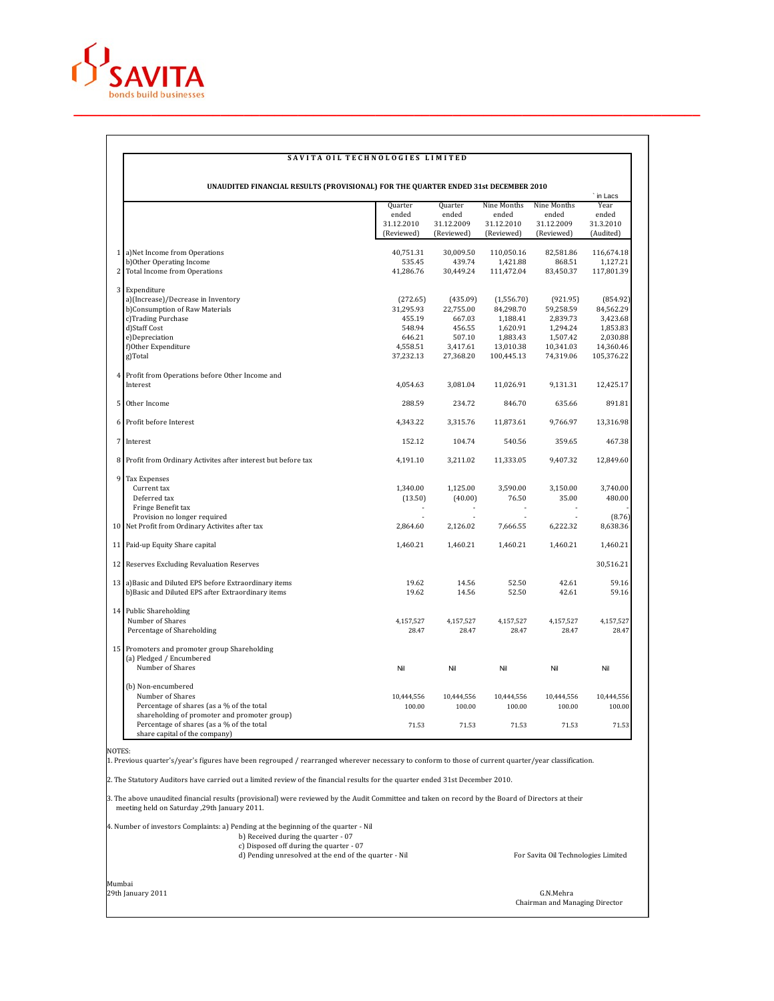

## **SAVITA OIL TECHNOLOGIES LIMITED**

|   | UNAUDITED FINANCIAL RESULTS (PROVISIONAL) FOR THE QUARTER ENDED 31st DECEMBER 2010 |            |            |             |             |                 |  |
|---|------------------------------------------------------------------------------------|------------|------------|-------------|-------------|-----------------|--|
|   | Quarter<br>Quarter                                                                 |            |            | Nine Months | Nine Months | in Lacs<br>Year |  |
|   |                                                                                    | ended      | ended      | ended       | ended       | ended           |  |
|   |                                                                                    | 31.12.2010 | 31.12.2009 | 31.12.2010  | 31.12.2009  | 31.3.2010       |  |
|   |                                                                                    | (Reviewed) | (Reviewed) | (Reviewed)  | (Reviewed)  | (Audited)       |  |
|   |                                                                                    |            |            |             |             |                 |  |
|   | 1 a)Net Income from Operations                                                     | 40,751.31  | 30,009.50  | 110,050.16  | 82,581.86   | 116,674.18      |  |
|   | b)Other Operating Income                                                           | 535.45     | 439.74     | 1,421.88    | 868.51      | 1.127.21        |  |
|   | 2 Total Income from Operations                                                     | 41,286.76  | 30,449.24  | 111,472.04  | 83,450.37   | 117,801.39      |  |
|   | 3 Expenditure                                                                      |            |            |             |             |                 |  |
|   | a)(Increase)/Decrease in Inventory                                                 | (272.65)   | (435.09)   | (1,556.70)  | (921.95)    | (854.92)        |  |
|   | b)Consumption of Raw Materials                                                     | 31,295.93  | 22,755.00  | 84,298.70   | 59,258.59   | 84,562.29       |  |
|   | c)Trading Purchase                                                                 | 455.19     | 667.03     | 1,188.41    | 2,839.73    | 3,423.68        |  |
|   | d)Staff Cost                                                                       | 548.94     | 456.55     | 1,620.91    | 1,294.24    | 1,853.83        |  |
|   | e)Depreciation                                                                     | 646.21     | 507.10     | 1,883.43    | 1,507.42    | 2,030.88        |  |
|   | f)Other Expenditure                                                                | 4,558.51   | 3,417.61   | 13,010.38   | 10,341.03   | 14,360.46       |  |
|   | g)Total                                                                            | 37,232.13  | 27,368.20  | 100,445.13  | 74,319.06   | 105,376.22      |  |
|   | 4 Profit from Operations before Other Income and                                   |            |            |             |             |                 |  |
|   | Interest                                                                           | 4,054.63   | 3,081.04   | 11,026.91   | 9,131.31    | 12,425.17       |  |
|   |                                                                                    |            |            |             |             |                 |  |
| 5 | Other Income                                                                       | 288.59     | 234.72     | 846.70      | 635.66      | 891.81          |  |
|   | 6 Profit before Interest                                                           | 4,343.22   | 3,315.76   | 11,873.61   | 9,766.97    | 13,316.98       |  |
|   | 7 Interest                                                                         | 152.12     | 104.74     | 540.56      | 359.65      | 467.38          |  |
|   | 8 Profit from Ordinary Activites after interest but before tax                     | 4,191.10   | 3,211.02   | 11,333.05   | 9,407.32    | 12,849.60       |  |
| 9 | <b>Tax Expenses</b>                                                                |            |            |             |             |                 |  |
|   | Current tax                                                                        | 1,340.00   | 1,125.00   | 3,590.00    | 3,150.00    | 3,740.00        |  |
|   | Deferred tax                                                                       | (13.50)    | (40.00)    | 76.50       | 35.00       | 480.00          |  |
|   | Fringe Benefit tax                                                                 |            |            |             |             |                 |  |
|   | Provision no longer required                                                       |            |            |             |             | (8.76)          |  |
|   | 10 Net Profit from Ordinary Activites after tax                                    | 2,864.60   | 2,126.02   | 7,666.55    | 6,222.32    | 8,638.36        |  |
|   |                                                                                    |            |            |             |             |                 |  |
|   | 11 Paid-up Equity Share capital                                                    | 1,460.21   | 1,460.21   | 1,460.21    | 1,460.21    | 1,460.21        |  |
|   | 12 Reserves Excluding Revaluation Reserves                                         |            |            |             |             | 30,516.21       |  |
|   | 13 a) Basic and Diluted EPS before Extraordinary items                             | 19.62      | 14.56      | 52.50       | 42.61       | 59.16           |  |
|   | b)Basic and Diluted EPS after Extraordinary items                                  | 19.62      | 14.56      | 52.50       | 42.61       | 59.16           |  |
|   | 14 Public Shareholding                                                             |            |            |             |             |                 |  |
|   | Number of Shares                                                                   | 4,157,527  | 4,157,527  | 4,157,527   | 4,157,527   | 4,157,527       |  |
|   | Percentage of Shareholding                                                         | 28.47      | 28.47      | 28.47       | 28.47       | 28.47           |  |
|   |                                                                                    |            |            |             |             |                 |  |
|   | 15 Promoters and promoter group Shareholding                                       |            |            |             |             |                 |  |
|   | (a) Pledged / Encumbered<br>Number of Shares                                       | Nil        | Nil        | Nil         | Nil         | Nil             |  |
|   |                                                                                    |            |            |             |             |                 |  |
|   | (b) Non-encumbered                                                                 |            |            |             |             |                 |  |
|   | Number of Shares                                                                   | 10,444,556 | 10,444,556 | 10,444,556  | 10,444,556  | 10,444,556      |  |
|   | Percentage of shares (as a % of the total                                          | 100.00     | 100.00     | 100.00      | 100.00      | 100.00          |  |
|   | shareholding of promoter and promoter group)                                       |            |            |             |             |                 |  |
|   | Percentage of shares (as a % of the total<br>share capital of the company)         | 71.53      | 71.53      | 71.53       | 71.53       | 71.53           |  |

NOTES:

1. Previous quarter's/year's figures have been regrouped / rearranged wherever necessary to conform to those of current quarter/year classification.

2. The Statutory Auditors have carried out a limited review of the financial results for the quarter ended 31st December 2010.

3. The above unaudited financial results (provisional) were reviewed by the Audit Committee and taken on record by the Board of Directors at their meeting held on Saturday ,29th January 2011.

4. Number of investors Complaints: a) Pending at the beginning of the quarter - Nil

b) Received during the quarter - 07 c) Disposed off during the quarter - 07 d) Pending unresolved at the end of the quarter - Nil For Savita Oil Technologies Limited

Mumbai

29th January 2011 G.N.Mehra Chairman and Managing Director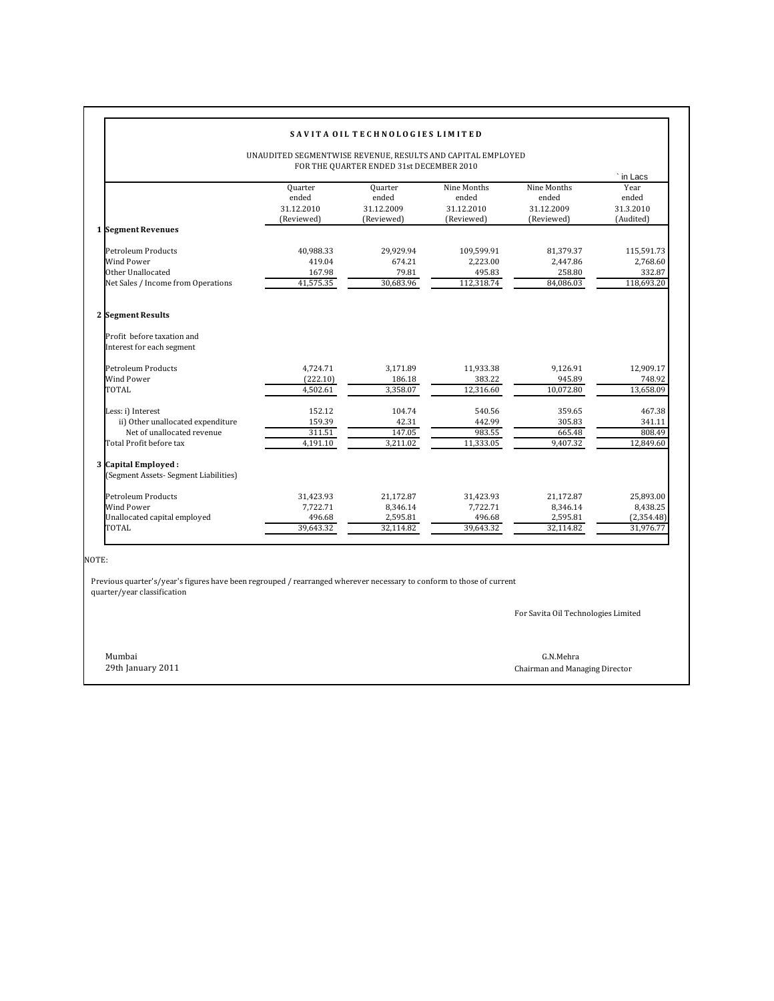|                                                                                                                 |                                                                                                         | SAVITA OIL TECHNOLOGIES LIMITED                                     |                                                                            |                                                                           |                                                                              |  |  |  |  |  |
|-----------------------------------------------------------------------------------------------------------------|---------------------------------------------------------------------------------------------------------|---------------------------------------------------------------------|----------------------------------------------------------------------------|---------------------------------------------------------------------------|------------------------------------------------------------------------------|--|--|--|--|--|
|                                                                                                                 | UNAUDITED SEGMENTWISE REVENUE, RESULTS AND CAPITAL EMPLOYED<br>FOR THE QUARTER ENDED 31st DECEMBER 2010 |                                                                     |                                                                            |                                                                           |                                                                              |  |  |  |  |  |
| 1 Segment Revenues<br>Petroleum Products<br><b>Wind Power</b>                                                   | Quarter<br>ended<br>31.12.2010<br>(Reviewed)<br>40,988.33<br>419.04                                     | Quarter<br>ended<br>31.12.2009<br>(Reviewed)<br>29,929.94<br>674.21 | Nine Months<br>ended<br>31.12.2010<br>(Reviewed)<br>109,599.91<br>2,223.00 | Nine Months<br>ended<br>31.12.2009<br>(Reviewed)<br>81,379.37<br>2,447.86 | in Lacs<br>Year<br>ended<br>31.3.2010<br>(Audited)<br>115,591.73<br>2,768.60 |  |  |  |  |  |
| Other Unallocated<br>Net Sales / Income from Operations                                                         | 167.98<br>41,575.35                                                                                     | 79.81<br>30,683.96                                                  | 495.83<br>112,318.74                                                       | 258.80<br>84,086.03                                                       | 332.87<br>118,693.20                                                         |  |  |  |  |  |
| 2 Segment Results<br>Profit before taxation and<br>Interest for each segment                                    |                                                                                                         |                                                                     |                                                                            |                                                                           |                                                                              |  |  |  |  |  |
| <b>Petroleum Products</b><br>Wind Power<br>TOTAL                                                                | 4.724.71<br>(222.10)<br>4,502.61                                                                        | 3.171.89<br>186.18<br>3,358.07                                      | 11,933.38<br>383.22<br>12,316.60                                           | 9.126.91<br>945.89<br>10,072.80                                           | 12,909.17<br>748.92<br>13,658.09                                             |  |  |  |  |  |
| Less: i) Interest<br>ii) Other unallocated expenditure<br>Net of unallocated revenue<br>Total Profit before tax | 152.12<br>159.39<br>311.51<br>4,191.10                                                                  | 104.74<br>42.31<br>147.05<br>3,211.02                               | 540.56<br>442.99<br>983.55<br>11,333.05                                    | 359.65<br>305.83<br>665.48<br>9,407.32                                    | 467.38<br>341.11<br>808.49<br>12,849.60                                      |  |  |  |  |  |
| 3 Capital Employed:<br>(Segment Assets- Segment Liabilities)                                                    |                                                                                                         |                                                                     |                                                                            |                                                                           |                                                                              |  |  |  |  |  |
| Petroleum Products<br>Wind Power<br>Unallocated capital employed<br><b>TOTAL</b>                                | 31,423.93<br>7.722.71<br>496.68<br>39,643.32                                                            | 21,172.87<br>8,346.14<br>2,595.81<br>32,114.82                      | 31,423.93<br>7.722.71<br>496.68<br>39,643.32                               | 21,172.87<br>8,346.14<br>2,595.81<br>32,114.82                            | 25,893.00<br>8,438.25<br>(2,354.48)<br>31,976.77                             |  |  |  |  |  |

NOTE:

 Previous quarter's/year's figures have been regrouped / rearranged wherever necessary to conform to those of current quarter/year classification

For Savita Oil Technologies Limited

Mumbai G.N.Mehra

29th January 2011 Chairman and Managing Director